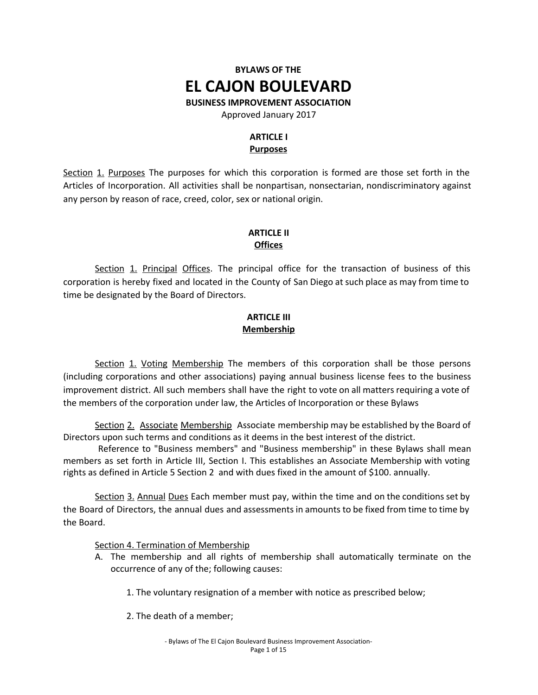# **BYLAWS OF THE EL CAJON BOULEVARD**

**BUSINESS IMPROVEMENT ASSOCIATION**

Approved January 2017

# **ARTICLE I Purposes**

Section 1. Purposes The purposes for which this corporation is formed are those set forth in the Articles of Incorporation. All activities shall be nonpartisan, nonsectarian, nondiscriminatory against any person by reason of race, creed, color, sex or national origin.

# **ARTICLE II Offices**

Section 1. Principal Offices. The principal office for the transaction of business of this corporation is hereby fixed and located in the County of San Diego at such place as may from time to time be designated by the Board of Directors.

## **ARTICLE III Membership**

Section 1. Voting Membership The members of this corporation shall be those persons (including corporations and other associations) paying annual business license fees to the business improvement district. All such members shall have the right to vote on all matters requiring a vote of the members of the corporation under law, the Articles of Incorporation or these Bylaws

Section 2. Associate Membership Associate membership may be established by the Board of Directors upon such terms and conditions as it deems in the best interest of the district.

Reference to "Business members" and "Business membership" in these Bylaws shall mean members as set forth in Article III, Section I. This establishes an Associate Membership with voting rights as defined in Article 5 Section 2 and with dues fixed in the amount of \$100. annually.

Section 3. Annual Dues Each member must pay, within the time and on the conditions set by the Board of Directors, the annual dues and assessments in amounts to be fixed from time to time by the Board.

Section 4. Termination of Membership

- A. The membership and all rights of membership shall automatically terminate on the occurrence of any of the; following causes:
	- 1. The voluntary resignation of a member with notice as prescribed below;
	- 2. The death of a member;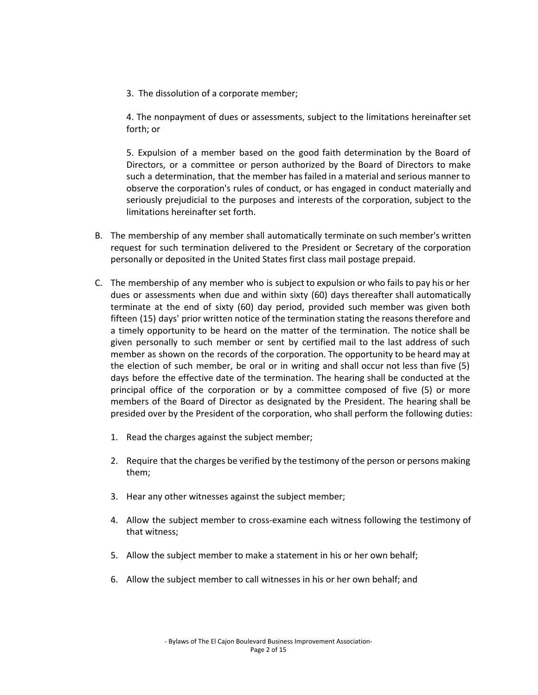3. The dissolution of a corporate member;

4. The nonpayment of dues or assessments, subject to the limitations hereinafter set forth; or

5. Expulsion of a member based on the good faith determination by the Board of Directors, or a committee or person authorized by the Board of Directors to make such a determination, that the member has failed in a material and serious manner to observe the corporation's rules of conduct, or has engaged in conduct materially and seriously prejudicial to the purposes and interests of the corporation, subject to the limitations hereinafter set forth.

- B. The membership of any member shall automatically terminate on such member's written request for such termination delivered to the President or Secretary of the corporation personally or deposited in the United States first class mail postage prepaid.
- C. The membership of any member who is subject to expulsion or who fails to pay his or her dues or assessments when due and within sixty (60) days thereafter shall automatically terminate at the end of sixty (60) day period, provided such member was given both fifteen (15) days' prior written notice of the termination stating the reasons therefore and a timely opportunity to be heard on the matter of the termination. The notice shall be given personally to such member or sent by certified mail to the last address of such member as shown on the records of the corporation. The opportunity to be heard may at the election of such member, be oral or in writing and shall occur not less than five (5) days before the effective date of the termination. The hearing shall be conducted at the principal office of the corporation or by a committee composed of five (5) or more members of the Board of Director as designated by the President. The hearing shall be presided over by the President of the corporation, who shall perform the following duties:
	- 1. Read the charges against the subject member;
	- 2. Require that the charges be verified by the testimony of the person or persons making them;
	- 3. Hear any other witnesses against the subject member;
	- 4. Allow the subject member to cross-examine each witness following the testimony of that witness;
	- 5. Allow the subject member to make a statement in his or her own behalf;
	- 6. Allow the subject member to call witnesses in his or her own behalf; and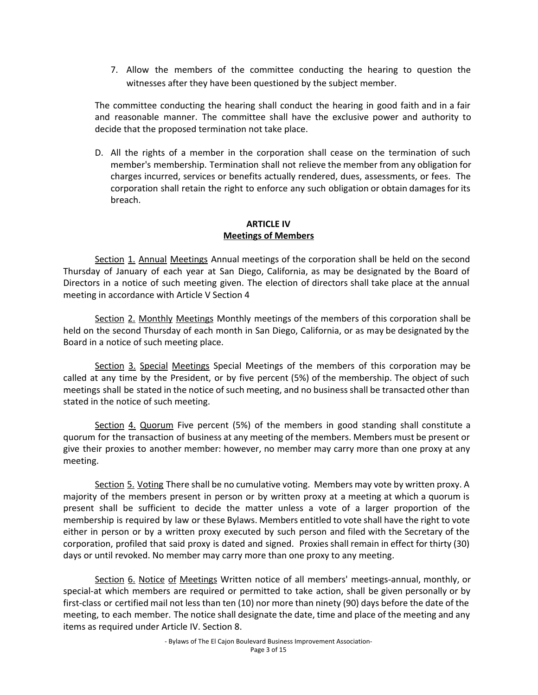7. Allow the members of the committee conducting the hearing to question the witnesses after they have been questioned by the subject member.

The committee conducting the hearing shall conduct the hearing in good faith and in a fair and reasonable manner. The committee shall have the exclusive power and authority to decide that the proposed termination not take place.

D. All the rights of a member in the corporation shall cease on the termination of such member's membership. Termination shall not relieve the member from any obligation for charges incurred, services or benefits actually rendered, dues, assessments, or fees. The corporation shall retain the right to enforce any such obligation or obtain damages for its breach.

## **ARTICLE IV Meetings of Members**

Section 1. Annual Meetings Annual meetings of the corporation shall be held on the second Thursday of January of each year at San Diego, California, as may be designated by the Board of Directors in a notice of such meeting given. The election of directors shall take place at the annual meeting in accordance with Article V Section 4

Section 2. Monthly Meetings Monthly meetings of the members of this corporation shall be held on the second Thursday of each month in San Diego, California, or as may be designated by the Board in a notice of such meeting place.

Section 3. Special Meetings Special Meetings of the members of this corporation may be called at any time by the President, or by five percent (5%) of the membership. The object of such meetings shall be stated in the notice of such meeting, and no business shall be transacted other than stated in the notice of such meeting.

Section 4. Quorum Five percent (5%) of the members in good standing shall constitute a quorum for the transaction of business at any meeting of the members. Members must be present or give their proxies to another member: however, no member may carry more than one proxy at any meeting.

Section 5. Voting There shall be no cumulative voting. Members may vote by written proxy. A majority of the members present in person or by written proxy at a meeting at which a quorum is present shall be sufficient to decide the matter unless a vote of a larger proportion of the membership is required by law or these Bylaws. Members entitled to vote shall have the right to vote either in person or by a written proxy executed by such person and filed with the Secretary of the corporation, profiled that said proxy is dated and signed. Proxies shall remain in effect for thirty (30) days or until revoked. No member may carry more than one proxy to any meeting.

Section 6. Notice of Meetings Written notice of all members' meetings-annual, monthly, or special-at which members are required or permitted to take action, shall be given personally or by first-class or certified mail not less than ten (10) nor more than ninety (90) days before the date of the meeting, to each member. The notice shall designate the date, time and place of the meeting and any items as required under Article IV. Section 8.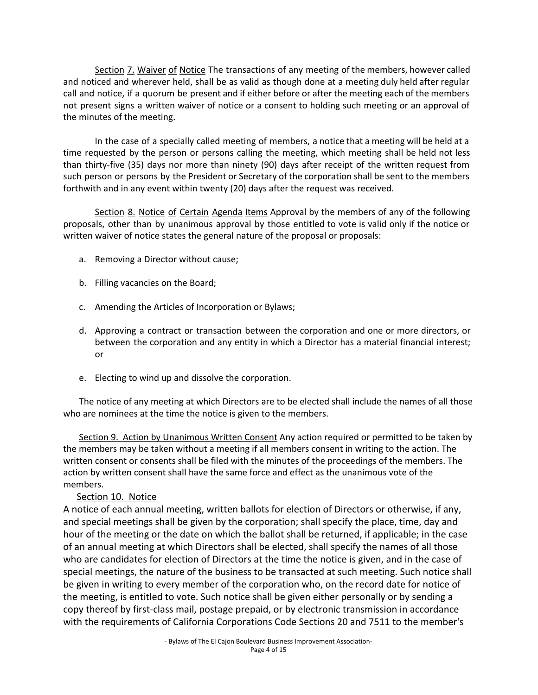Section 7. Waiver of Notice The transactions of any meeting of the members, however called and noticed and wherever held, shall be as valid as though done at a meeting duly held after regular call and notice, if a quorum be present and if either before or after the meeting each of the members not present signs a written waiver of notice or a consent to holding such meeting or an approval of the minutes of the meeting.

In the case of a specially called meeting of members, a notice that a meeting will be held at a time requested by the person or persons calling the meeting, which meeting shall be held not less than thirty-five (35) days nor more than ninety (90) days after receipt of the written request from such person or persons by the President or Secretary of the corporation shall be sent to the members forthwith and in any event within twenty (20) days after the request was received.

Section 8. Notice of Certain Agenda Items Approval by the members of any of the following proposals, other than by unanimous approval by those entitled to vote is valid only if the notice or written waiver of notice states the general nature of the proposal or proposals:

- a. Removing a Director without cause;
- b. Filling vacancies on the Board;
- c. Amending the Articles of Incorporation or Bylaws;
- d. Approving a contract or transaction between the corporation and one or more directors, or between the corporation and any entity in which a Director has a material financial interest; or
- e. Electing to wind up and dissolve the corporation.

The notice of any meeting at which Directors are to be elected shall include the names of all those who are nominees at the time the notice is given to the members.

Section 9. Action by Unanimous Written Consent Any action required or permitted to be taken by the members may be taken without a meeting if all members consent in writing to the action. The written consent or consents shall be filed with the minutes of the proceedings of the members. The action by written consent shall have the same force and effect as the unanimous vote of the members.

### Section 10. Notice

A notice of each annual meeting, written ballots for election of Directors or otherwise, if any, and special meetings shall be given by the corporation; shall specify the place, time, day and hour of the meeting or the date on which the ballot shall be returned, if applicable; in the case of an annual meeting at which Directors shall be elected, shall specify the names of all those who are candidates for election of Directors at the time the notice is given, and in the case of special meetings, the nature of the business to be transacted at such meeting. Such notice shall be given in writing to every member of the corporation who, on the record date for notice of the meeting, is entitled to vote. Such notice shall be given either personally or by sending a copy thereof by first-class mail, postage prepaid, or by electronic transmission in accordance with the requirements of California Corporations Code Sections 20 and 7511 to the member's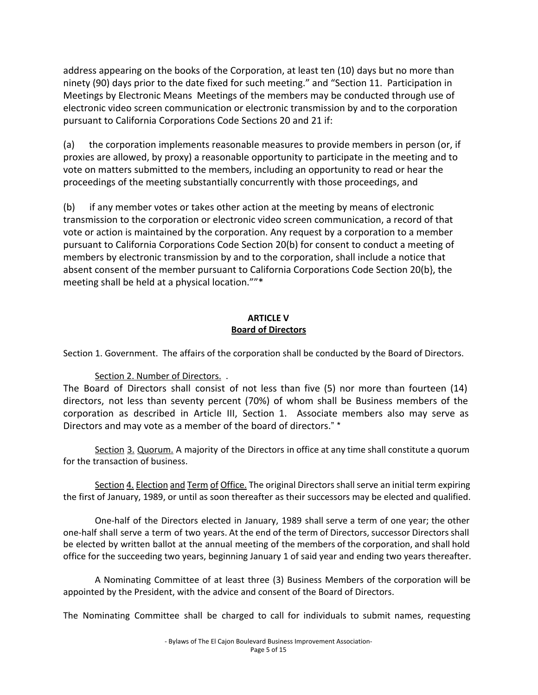address appearing on the books of the Corporation, at least ten (10) days but no more than ninety (90) days prior to the date fixed for such meeting." and "Section 11. Participation in Meetings by Electronic Means Meetings of the members may be conducted through use of electronic video screen communication or electronic transmission by and to the corporation pursuant to California Corporations Code Sections 20 and 21 if:

(a) the corporation implements reasonable measures to provide members in person (or, if proxies are allowed, by proxy) a reasonable opportunity to participate in the meeting and to vote on matters submitted to the members, including an opportunity to read or hear the proceedings of the meeting substantially concurrently with those proceedings, and

(b) if any member votes or takes other action at the meeting by means of electronic transmission to the corporation or electronic video screen communication, a record of that vote or action is maintained by the corporation. Any request by a corporation to a member pursuant to California Corporations Code Section 20(b) for consent to conduct a meeting of members by electronic transmission by and to the corporation, shall include a notice that absent consent of the member pursuant to California Corporations Code Section 20(b}, the meeting shall be held at a physical location.""\*

# **ARTICLE V Board of Directors**

Section 1. Government. The affairs of the corporation shall be conducted by the Board of Directors.

Section 2. Number of Directors. .

The Board of Directors shall consist of not less than five (5) nor more than fourteen (14) directors, not less than seventy percent (70%) of whom shall be Business members of the corporation as described in Article III, Section 1. Associate members also may serve as Directors and may vote as a member of the board of directors." \*

Section 3. Quorum. A majority of the Directors in office at any time shall constitute a quorum for the transaction of business.

Section 4. Election and Term of Office. The original Directors shall serve an initial term expiring the first of January, 1989, or until as soon thereafter as their successors may be elected and qualified.

One-half of the Directors elected in January, 1989 shall serve a term of one year; the other one-half shall serve a term of two years. At the end of the term of Directors, successor Directors shall be elected by written ballot at the annual meeting of the members of the corporation, and shall hold office for the succeeding two years, beginning January 1 of said year and ending two years thereafter.

A Nominating Committee of at least three (3) Business Members of the corporation will be appointed by the President, with the advice and consent of the Board of Directors.

The Nominating Committee shall be charged to call for individuals to submit names, requesting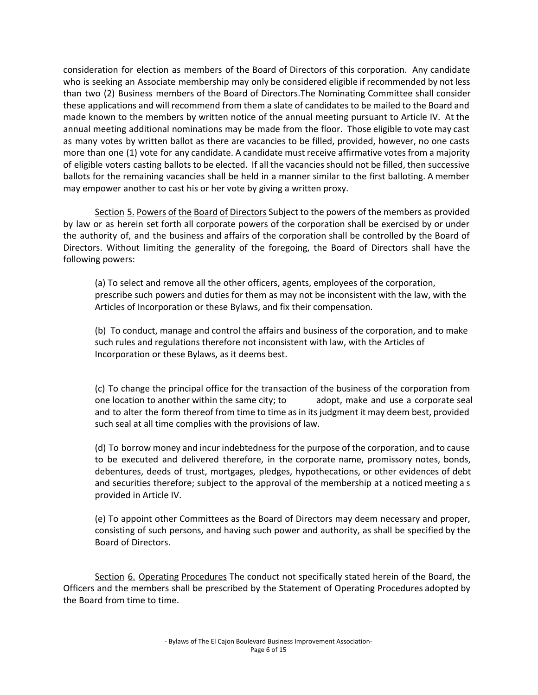consideration for election as members of the Board of Directors of this corporation. Any candidate who is seeking an Associate membership may only be considered eligible if recommended by not less than two (2) Business members of the Board of Directors.The Nominating Committee shall consider these applications and will recommend from them a slate of candidates to be mailed to the Board and made known to the members by written notice of the annual meeting pursuant to Article IV. At the annual meeting additional nominations may be made from the floor. Those eligible to vote may cast as many votes by written ballot as there are vacancies to be filled, provided, however, no one casts more than one (1) vote for any candidate. A candidate must receive affirmative votes from a majority of eligible voters casting ballots to be elected. If all the vacancies should not be filled, then successive ballots for the remaining vacancies shall be held in a manner similar to the first balloting. A member may empower another to cast his or her vote by giving a written proxy.

Section 5. Powers of the Board of Directors Subject to the powers of the members as provided by law or as herein set forth all corporate powers of the corporation shall be exercised by or under the authority of, and the business and affairs of the corporation shall be controlled by the Board of Directors. Without limiting the generality of the foregoing, the Board of Directors shall have the following powers:

(a) To select and remove all the other officers, agents, employees of the corporation, prescribe such powers and duties for them as may not be inconsistent with the law, with the Articles of Incorporation or these Bylaws, and fix their compensation.

(b) To conduct, manage and control the affairs and business of the corporation, and to make such rules and regulations therefore not inconsistent with law, with the Articles of Incorporation or these Bylaws, as it deems best.

(c) To change the principal office for the transaction of the business of the corporation from one location to another within the same city; to adopt, make and use a corporate seal and to alter the form thereof from time to time as in its judgment it may deem best, provided such seal at all time complies with the provisions of law.

(d) To borrow money and incur indebtedness for the purpose of the corporation, and to cause to be executed and delivered therefore, in the corporate name, promissory notes, bonds, debentures, deeds of trust, mortgages, pledges, hypothecations, or other evidences of debt and securities therefore; subject to the approval of the membership at a noticed meeting a s provided in Article IV.

(e) To appoint other Committees as the Board of Directors may deem necessary and proper, consisting of such persons, and having such power and authority, as shall be specified by the Board of Directors.

Section 6. Operating Procedures The conduct not specifically stated herein of the Board, the Officers and the members shall be prescribed by the Statement of Operating Procedures adopted by the Board from time to time.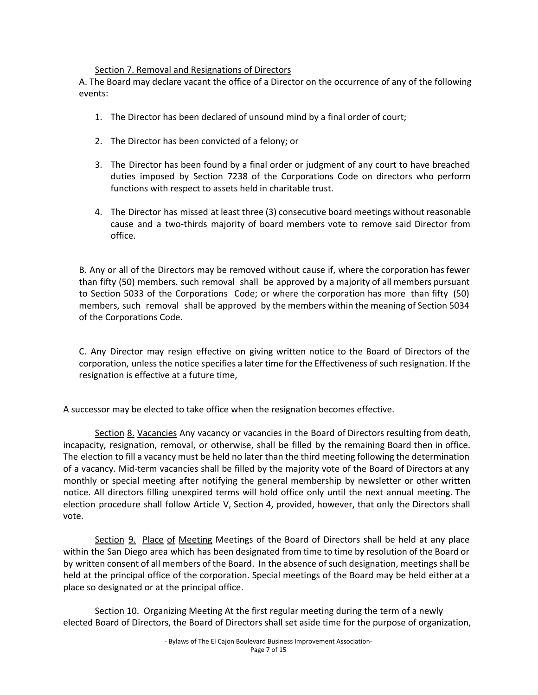## Section 7. Removal and Resignations of Directors

A. The Board may declare vacant the office of a Director on the occurrence of any of the following events:

- 1. The Director has been declared of unsound mind by a final order of court;
- 2. The Director has been convicted of a felony; or
- 3. The Director has been found by a final order or judgment of any court to have breached duties imposed by Section 7238 of the Corporations Code on directors who perform functions with respect to assets held in charitable trust.
- 4. The Director has missed at least three (3) consecutive board meetings without reasonable cause and a two-thirds majority of board members vote to remove said Director from office.

B. Any or all of the Directors may be removed without cause if, where the corporation has fewer than fifty (50) members. such removal shall be approved by a majority of all members pursuant to Section 5033 of the Corporations Code; or where the corporation has more than fifty (50) members, such removal shall be approved by the members within the meaning of Section 5034 of the Corporations Code.

C. Any Director may resign effective on giving written notice to the Board of Directors of the corporation, unless the notice specifies a later time for the Effectiveness of such resignation. If the resignation is effective at a future time,

A successor may be elected to take office when the resignation becomes effective.

Section 8. Vacancies Any vacancy or vacancies in the Board of Directors resulting from death, incapacity, resignation, removal, or otherwise, shall be filled by the remaining Board then in office. The election to fill a vacancy must be held no later than the third meeting following the determination of a vacancy. Mid-term vacancies shall be filled by the majority vote of the Board of Directors at any monthly or special meeting after notifying the general membership by newsletter or other written notice. All directors filling unexpired terms will hold office only until the next annual meeting. The election procedure shall follow Article V, Section 4, provided, however, that only the Directors shall vote.

Section 9. Place of Meeting Meetings of the Board of Directors shall be held at any place within the San Diego area which has been designated from time to time by resolution of the Board or by written consent of all members of the Board. In the absence of such designation, meetings shall be held at the principal office of the corporation. Special meetings of the Board may be held either at a place so designated or at the principal office.

Section 10. Organizing Meeting At the first regular meeting during the term of a newly elected Board of Directors, the Board of Directors shall set aside time for the purpose of organization,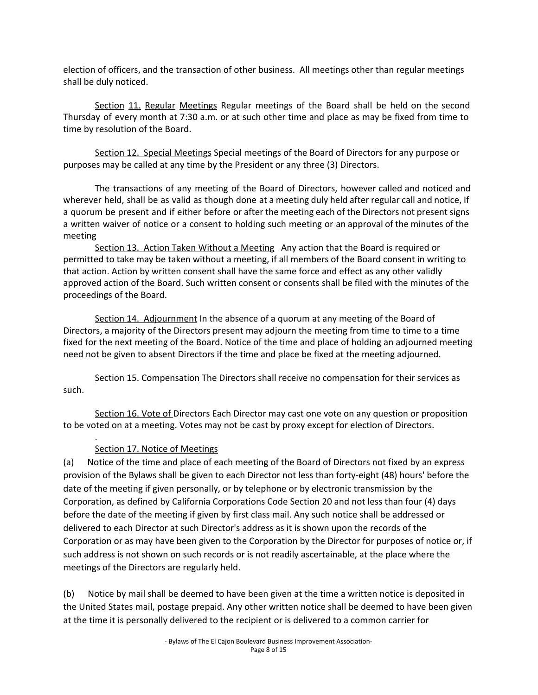election of officers, and the transaction of other business. All meetings other than regular meetings shall be duly noticed.

Section 11. Regular Meetings Regular meetings of the Board shall be held on the second Thursday of every month at 7:30 a.m. or at such other time and place as may be fixed from time to time by resolution of the Board.

Section 12. Special Meetings Special meetings of the Board of Directors for any purpose or purposes may be called at any time by the President or any three (3) Directors.

The transactions of any meeting of the Board of Directors, however called and noticed and wherever held, shall be as valid as though done at a meeting duly held after regular call and notice, If a quorum be present and if either before or after the meeting each of the Directors not present signs a written waiver of notice or a consent to holding such meeting or an approval of the minutes of the meeting

Section 13. Action Taken Without a Meeting Any action that the Board is required or permitted to take may be taken without a meeting, if all members of the Board consent in writing to that action. Action by written consent shall have the same force and effect as any other validly approved action of the Board. Such written consent or consents shall be filed with the minutes of the proceedings of the Board.

Section 14. Adjournment In the absence of a quorum at any meeting of the Board of Directors, a majority of the Directors present may adjourn the meeting from time to time to a time fixed for the next meeting of the Board. Notice of the time and place of holding an adjourned meeting need not be given to absent Directors if the time and place be fixed at the meeting adjourned.

Section 15. Compensation The Directors shall receive no compensation for their services as such.

Section 16. Vote of Directors Each Director may cast one vote on any question or proposition to be voted on at a meeting. Votes may not be cast by proxy except for election of Directors.

#### . Section 17. Notice of Meetings

(a) Notice of the time and place of each meeting of the Board of Directors not fixed by an express provision of the Bylaws shall be given to each Director not less than forty-eight (48) hours' before the date of the meeting if given personally, or by telephone or by electronic transmission by the Corporation, as defined by California Corporations Code Section 20 and not less than four (4) days before the date of the meeting if given by first class mail. Any such notice shall be addressed or delivered to each Director at such Director's address as it is shown upon the records of the Corporation or as may have been given to the Corporation by the Director for purposes of notice or, if such address is not shown on such records or is not readily ascertainable, at the place where the meetings of the Directors are regularly held.

(b) Notice by mail shall be deemed to have been given at the time a written notice is deposited in the United States mail, postage prepaid. Any other written notice shall be deemed to have been given at the time it is personally delivered to the recipient or is delivered to a common carrier for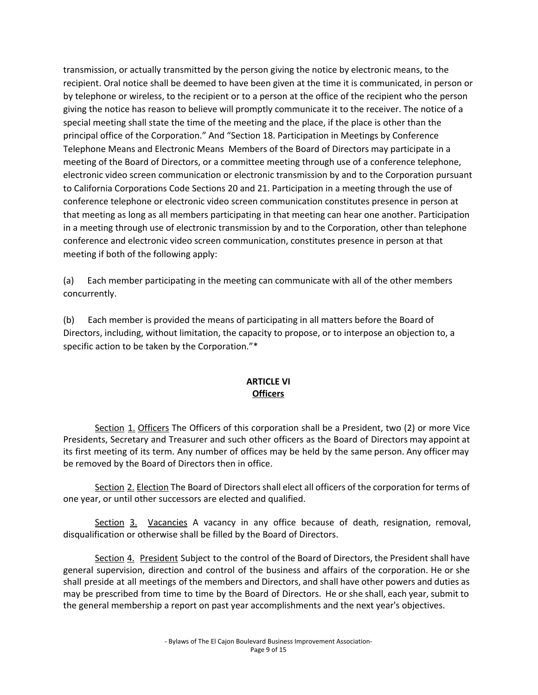transmission, or actually transmitted by the person giving the notice by electronic means, to the recipient. Oral notice shall be deemed to have been given at the time it is communicated, in person or by telephone or wireless, to the recipient or to a person at the office of the recipient who the person giving the notice has reason to believe will promptly communicate it to the receiver. The notice of a special meeting shall state the time of the meeting and the place, if the place is other than the principal office of the Corporation." And "Section 18. Participation in Meetings by Conference Telephone Means and Electronic Means Members of the Board of Directors may participate in a meeting of the Board of Directors, or a committee meeting through use of a conference telephone, electronic video screen communication or electronic transmission by and to the Corporation pursuant to California Corporations Code Sections 20 and 21. Participation in a meeting through the use of conference telephone or electronic video screen communication constitutes presence in person at that meeting as long as all members participating in that meeting can hear one another. Participation in a meeting through use of electronic transmission by and to the Corporation, other than telephone conference and electronic video screen communication, constitutes presence in person at that meeting if both of the following apply:

(a) Each member participating in the meeting can communicate with all of the other members concurrently.

(b) Each member is provided the means of participating in all matters before the Board of Directors, including, without limitation, the capacity to propose, or to interpose an objection to, a specific action to be taken by the Corporation."\*

# **ARTICLE VI Officers**

Section 1. Officers The Officers of this corporation shall be a President, two (2) or more Vice Presidents, Secretary and Treasurer and such other officers as the Board of Directors may appoint at its first meeting of its term. Any number of offices may be held by the same person. Any officer may be removed by the Board of Directors then in office.

Section 2. Election The Board of Directors shall elect all officers of the corporation for terms of one year, or until other successors are elected and qualified.

Section 3. Vacancies A vacancy in any office because of death, resignation, removal, disqualification or otherwise shall be filled by the Board of Directors.

Section 4. President Subject to the control of the Board of Directors, the President shall have general supervision, direction and control of the business and affairs of the corporation. He or she shall preside at all meetings of the members and Directors, and shall have other powers and duties as may be prescribed from time to time by the Board of Directors. He or she shall, each year, submit to the general membership a report on past year accomplishments and the next year's objectives.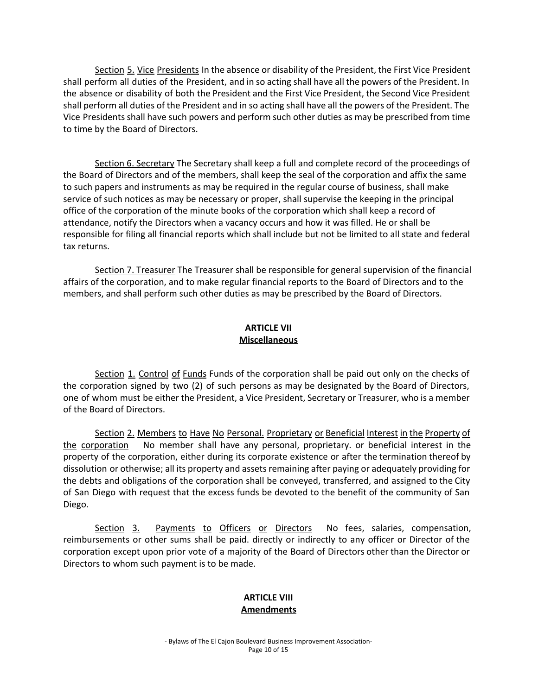Section 5. Vice Presidents In the absence or disability of the President, the First Vice President shall perform all duties of the President, and in so acting shall have all the powers of the President. In the absence or disability of both the President and the First Vice President, the Second Vice President shall perform all duties of the President and in so acting shall have all the powers of the President. The Vice Presidents shall have such powers and perform such other duties as may be prescribed from time to time by the Board of Directors.

Section 6. Secretary The Secretary shall keep a full and complete record of the proceedings of the Board of Directors and of the members, shall keep the seal of the corporation and affix the same to such papers and instruments as may be required in the regular course of business, shall make service of such notices as may be necessary or proper, shall supervise the keeping in the principal office of the corporation of the minute books of the corporation which shall keep a record of attendance, notify the Directors when a vacancy occurs and how it was filled. He or shall be responsible for filing all financial reports which shall include but not be limited to all state and federal tax returns.

Section 7. Treasurer The Treasurer shall be responsible for general supervision of the financial affairs of the corporation, and to make regular financial reports to the Board of Directors and to the members, and shall perform such other duties as may be prescribed by the Board of Directors.

## **ARTICLE VII Miscellaneous**

Section 1. Control of Funds Funds of the corporation shall be paid out only on the checks of the corporation signed by two (2) of such persons as may be designated by the Board of Directors, one of whom must be either the President, a Vice President, Secretary or Treasurer, who is a member of the Board of Directors.

Section 2. Members to Have No Personal. Proprietary or Beneficial Interest in the Property of the corporation No member shall have any personal, proprietary. or beneficial interest in the property of the corporation, either during its corporate existence or after the termination thereof by dissolution or otherwise; all its property and assets remaining after paying or adequately providing for the debts and obligations of the corporation shall be conveyed, transferred, and assigned to the City of San Diego with request that the excess funds be devoted to the benefit of the community of San Diego.

Section 3. Payments to Officers or Directors No fees, salaries, compensation, reimbursements or other sums shall be paid. directly or indirectly to any officer or Director of the corporation except upon prior vote of a majority of the Board of Directors other than the Director or Directors to whom such payment is to be made.

#### **ARTICLE VIII Amendments**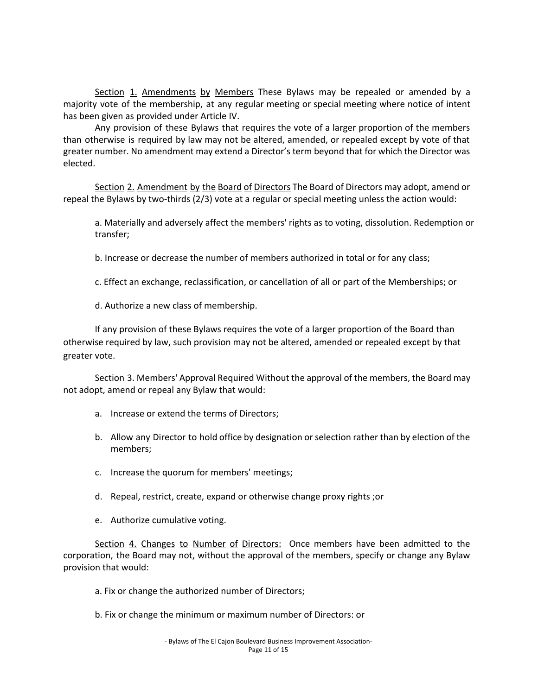Section 1. Amendments by Members These Bylaws may be repealed or amended by a majority vote of the membership, at any regular meeting or special meeting where notice of intent has been given as provided under Article IV.

Any provision of these Bylaws that requires the vote of a larger proportion of the members than otherwise is required by law may not be altered, amended, or repealed except by vote of that greater number. No amendment may extend a Director's term beyond that for which the Director was elected.

Section 2. Amendment by the Board of Directors The Board of Directors may adopt, amend or repeal the Bylaws by two-thirds (2/3) vote at a regular or special meeting unless the action would:

a. Materially and adversely affect the members' rights as to voting, dissolution. Redemption or transfer;

b. Increase or decrease the number of members authorized in total or for any class;

c. Effect an exchange, reclassification, or cancellation of all or part of the Memberships; or

d. Authorize a new class of membership.

If any provision of these Bylaws requires the vote of a larger proportion of the Board than otherwise required by law, such provision may not be altered, amended or repealed except by that greater vote.

Section 3. Members' Approval Required Without the approval of the members, the Board may not adopt, amend or repeal any Bylaw that would:

- a. Increase or extend the terms of Directors;
- b. Allow any Director to hold office by designation or selection rather than by election of the members;
- c. Increase the quorum for members' meetings;
- d. Repeal, restrict, create, expand or otherwise change proxy rights ;or
- e. Authorize cumulative voting.

Section 4. Changes to Number of Directors: Once members have been admitted to the corporation, the Board may not, without the approval of the members, specify or change any Bylaw provision that would:

- a. Fix or change the authorized number of Directors;
- b. Fix or change the minimum or maximum number of Directors: or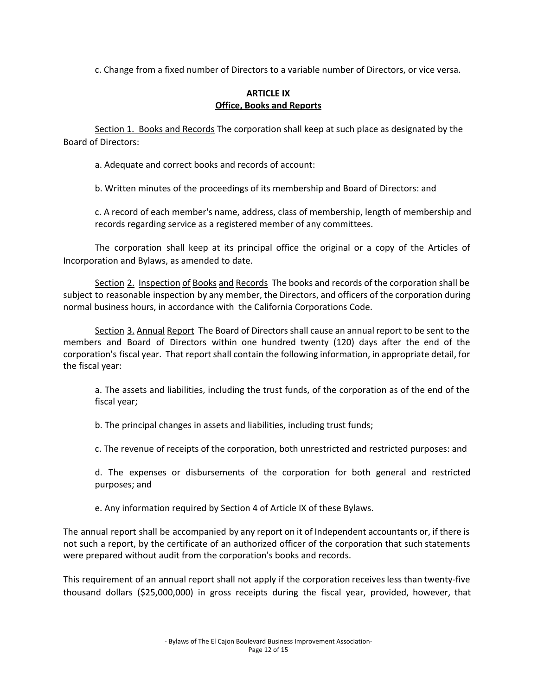c. Change from a fixed number of Directors to a variable number of Directors, or vice versa.

## **ARTICLE IX Office, Books and Reports**

Section 1. Books and Records The corporation shall keep at such place as designated by the Board of Directors:

a. Adequate and correct books and records of account:

b. Written minutes of the proceedings of its membership and Board of Directors: and

c. A record of each member's name, address, class of membership, length of membership and records regarding service as a registered member of any committees.

The corporation shall keep at its principal office the original or a copy of the Articles of Incorporation and Bylaws, as amended to date.

Section 2. Inspection of Books and Records The books and records of the corporation shall be subject to reasonable inspection by any member, the Directors, and officers of the corporation during normal business hours, in accordance with the California Corporations Code.

Section 3. Annual Report The Board of Directors shall cause an annual report to be sent to the members and Board of Directors within one hundred twenty (120) days after the end of the corporation's fiscal year. That report shall contain the following information, in appropriate detail, for the fiscal year:

a. The assets and liabilities, including the trust funds, of the corporation as of the end of the fiscal year;

b. The principal changes in assets and liabilities, including trust funds;

c. The revenue of receipts of the corporation, both unrestricted and restricted purposes: and

d. The expenses or disbursements of the corporation for both general and restricted purposes; and

e. Any information required by Section 4 of Article IX of these Bylaws.

The annual report shall be accompanied by any report on it of Independent accountants or, if there is not such a report, by the certificate of an authorized officer of the corporation that such statements were prepared without audit from the corporation's books and records.

This requirement of an annual report shall not apply if the corporation receives less than twenty-five thousand dollars (\$25,000,000) in gross receipts during the fiscal year, provided, however, that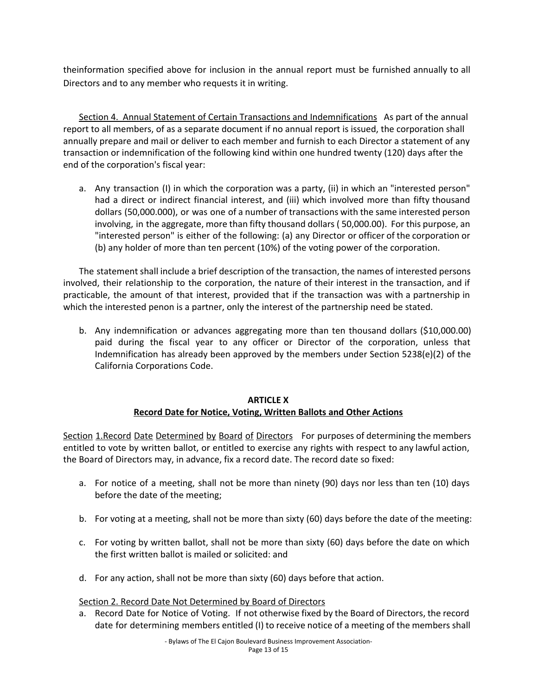theinformation specified above for inclusion in the annual report must be furnished annually to all Directors and to any member who requests it in writing.

Section 4. Annual Statement of Certain Transactions and Indemnifications As part of the annual report to all members, of as a separate document if no annual report is issued, the corporation shall annually prepare and mail or deliver to each member and furnish to each Director a statement of any transaction or indemnification of the following kind within one hundred twenty (120) days after the end of the corporation's fiscal year:

a. Any transaction (I) in which the corporation was a party, (ii) in which an "interested person" had a direct or indirect financial interest, and (iii) which involved more than fifty thousand dollars (50,000.000), or was one of a number of transactions with the same interested person involving, in the aggregate, more than fifty thousand dollars ( 50,000.00). For this purpose, an "interested person" is either of the following: (a) any Director or officer of the corporation or (b) any holder of more than ten percent (10%) of the voting power of the corporation.

The statement shall include a brief description of the transaction, the names of interested persons involved, their relationship to the corporation, the nature of their interest in the transaction, and if practicable, the amount of that interest, provided that if the transaction was with a partnership in which the interested penon is a partner, only the interest of the partnership need be stated.

b. Any indemnification or advances aggregating more than ten thousand dollars (\$10,000.00) paid during the fiscal year to any officer or Director of the corporation, unless that Indemnification has already been approved by the members under Section 5238(e)(2) of the California Corporations Code.

## **ARTICLE X Record Date for Notice, Voting, Written Ballots and Other Actions**

Section 1. Record Date Determined by Board of Directors For purposes of determining the members entitled to vote by written ballot, or entitled to exercise any rights with respect to any lawful action, the Board of Directors may, in advance, fix a record date. The record date so fixed:

- a. For notice of a meeting, shall not be more than ninety (90) days nor less than ten (10) days before the date of the meeting;
- b. For voting at a meeting, shall not be more than sixty (60) days before the date of the meeting:
- c. For voting by written ballot, shall not be more than sixty (60) days before the date on which the first written ballot is mailed or solicited: and
- d. For any action, shall not be more than sixty (60) days before that action.

#### Section 2. Record Date Not Determined by Board of Directors

a. Record Date for Notice of Voting. If not otherwise fixed by the Board of Directors, the record date for determining members entitled (I) to receive notice of a meeting of the members shall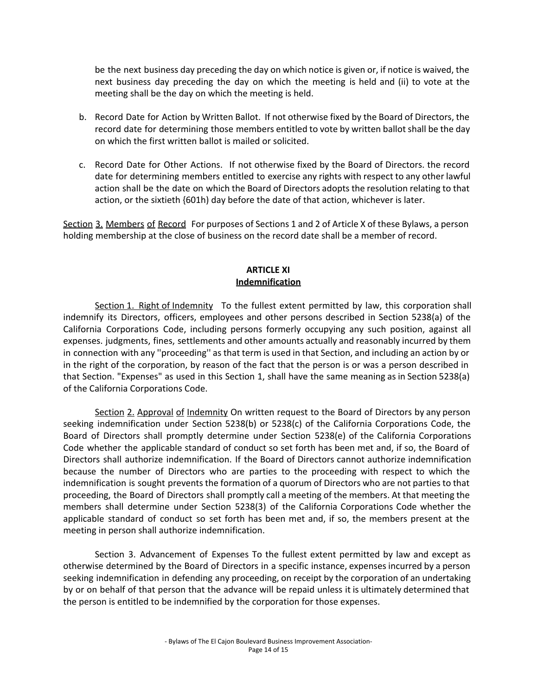be the next business day preceding the day on which notice is given or, if notice is waived, the next business day preceding the day on which the meeting is held and (ii) to vote at the meeting shall be the day on which the meeting is held.

- b. Record Date for Action by Written Ballot. If not otherwise fixed by the Board of Directors, the record date for determining those members entitled to vote by written ballot shall be the day on which the first written ballot is mailed or solicited.
- c. Record Date for Other Actions. If not otherwise fixed by the Board of Directors. the record date for determining members entitled to exercise any rights with respect to any other lawful action shall be the date on which the Board of Directors adopts the resolution relating to that action, or the sixtieth {601h) day before the date of that action, whichever is later.

Section 3. Members of Record For purposes of Sections 1 and 2 of Article X of these Bylaws, a person holding membership at the close of business on the record date shall be a member of record.

## **ARTICLE XI Indemnification**

Section 1. Right of Indemnity To the fullest extent permitted by law, this corporation shall indemnify its Directors, officers, employees and other persons described in Section 5238(a) of the California Corporations Code, including persons formerly occupying any such position, against all expenses. judgments, fines, settlements and other amounts actually and reasonably incurred by them in connection with any ''proceeding'' as that term is used in that Section, and including an action by or in the right of the corporation, by reason of the fact that the person is or was a person described in that Section. "Expenses" as used in this Section 1, shall have the same meaning as in Section 5238(a) of the California Corporations Code.

Section 2. Approval of Indemnity On written request to the Board of Directors by any person seeking indemnification under Section 5238(b) or 5238(c) of the California Corporations Code, the Board of Directors shall promptly determine under Section 5238(e) of the California Corporations Code whether the applicable standard of conduct so set forth has been met and, if so, the Board of Directors shall authorize indemnification. If the Board of Directors cannot authorize indemnification because the number of Directors who are parties to the proceeding with respect to which the indemnification is sought prevents the formation of a quorum of Directors who are not parties to that proceeding, the Board of Directors shall promptly call a meeting of the members. At that meeting the members shall determine under Section 5238(3) of the California Corporations Code whether the applicable standard of conduct so set forth has been met and, if so, the members present at the meeting in person shall authorize indemnification.

Section 3. Advancement of Expenses To the fullest extent permitted by law and except as otherwise determined by the Board of Directors in a specific instance, expenses incurred by a person seeking indemnification in defending any proceeding, on receipt by the corporation of an undertaking by or on behalf of that person that the advance will be repaid unless it is ultimately determined that the person is entitled to be indemnified by the corporation for those expenses.